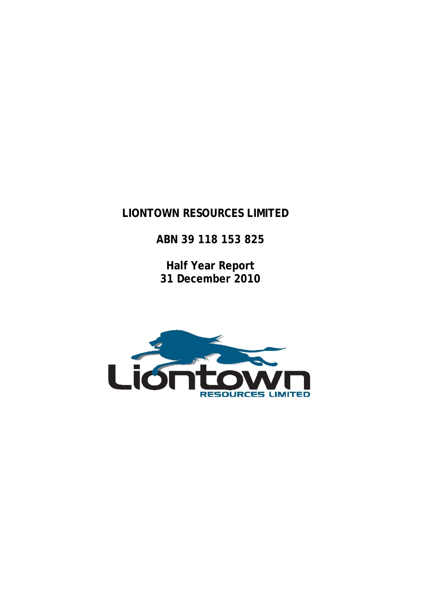# **LIONTOWN RESOURCES LIMITED**

**ABN 39 118 153 825** 

**Half Year Report 31 December 2010** 

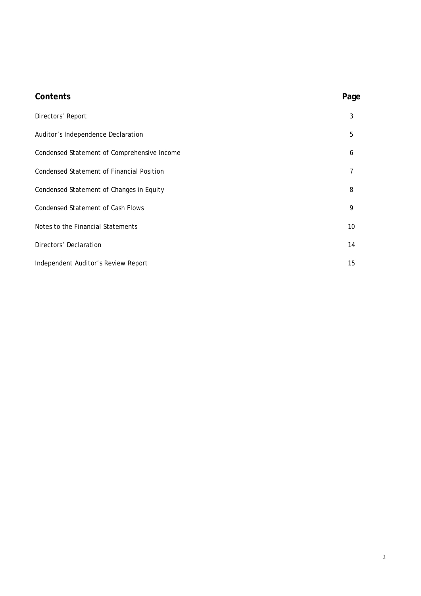| Contents                                         | Page            |
|--------------------------------------------------|-----------------|
| Directors' Report                                | 3               |
| Auditor's Independence Declaration               | 5               |
| Condensed Statement of Comprehensive Income      | 6               |
| <b>Condensed Statement of Financial Position</b> | 7               |
| Condensed Statement of Changes in Equity         | 8               |
| <b>Condensed Statement of Cash Flows</b>         | 9               |
| Notes to the Financial Statements                | 10 <sup>°</sup> |
| Directors' Declaration                           | 14              |
| Independent Auditor's Review Report              | 15              |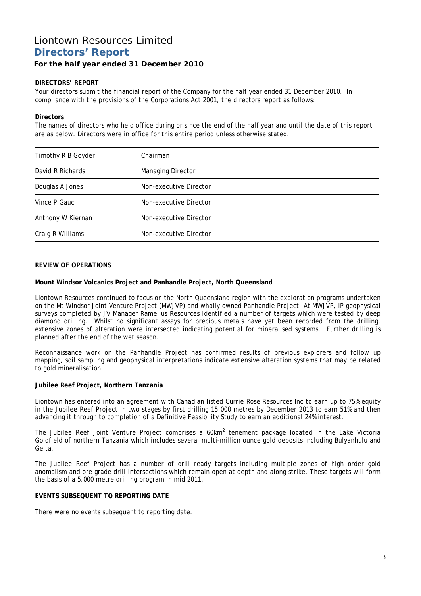## Liontown Resources Limited **Directors' Report**

#### **For the half year ended 31 December 2010**

#### **DIRECTORS' REPORT**

Your directors submit the financial report of the Company for the half year ended 31 December 2010. In compliance with the provisions of the Corporations Act 2001, the directors report as follows:

#### **Directors**

The names of directors who held office during or since the end of the half year and until the date of this report are as below. Directors were in office for this entire period unless otherwise stated.

| Timothy R B Goyder | Chairman                 |
|--------------------|--------------------------|
| David R Richards   | <b>Managing Director</b> |
| Douglas A Jones    | Non-executive Director   |
| Vince P Gauci      | Non-executive Director   |
| Anthony W Kiernan  | Non-executive Director   |
| Craig R Williams   | Non-executive Director   |

#### **REVIEW OF OPERATIONS**

#### **Mount Windsor Volcanics Project and Panhandle Project, North Queensland**

Liontown Resources continued to focus on the North Queensland region with the exploration programs undertaken on the Mt Windsor Joint Venture Project (MWJVP) and wholly owned Panhandle Project. At MWJVP, IP geophysical surveys completed by JV Manager Ramelius Resources identified a number of targets which were tested by deep diamond drilling. Whilst no significant assays for precious metals have yet been recorded from the drilling, extensive zones of alteration were intersected indicating potential for mineralised systems. Further drilling is planned after the end of the wet season.

Reconnaissance work on the Panhandle Project has confirmed results of previous explorers and follow up mapping, soil sampling and geophysical interpretations indicate extensive alteration systems that may be related to gold mineralisation.

#### **Jubilee Reef Project, Northern Tanzania**

Liontown has entered into an agreement with Canadian listed Currie Rose Resources Inc to earn up to 75% equity in the Jubilee Reef Project in two stages by first drilling 15,000 metres by December 2013 to earn 51% and then advancing it through to completion of a Definitive Feasibility Study to earn an additional 24% interest.

The Jubilee Reef Joint Venture Project comprises a 60km<sup>2</sup> tenement package located in the Lake Victoria Goldfield of northern Tanzania which includes several multi-million ounce gold deposits including Bulyanhulu and Geita.

The Jubilee Reef Project has a number of drill ready targets including multiple zones of high order gold anomalism and ore grade drill intersections which remain open at depth and along strike. These targets will form the basis of a 5,000 metre drilling program in mid 2011.

#### **EVENTS SUBSEQUENT TO REPORTING DATE**

There were no events subsequent to reporting date.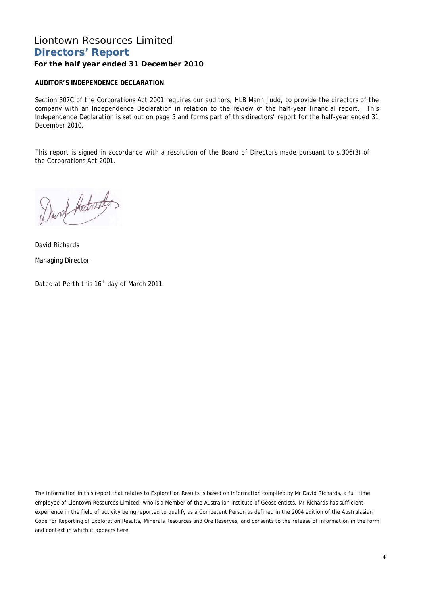## Liontown Resources Limited **Directors' Report**

## **For the half year ended 31 December 2010**

### **AUDITOR'S INDEPENDENCE DECLARATION**

Section 307C of the Corporations Act 2001 requires our auditors, HLB Mann Judd, to provide the directors of the company with an Independence Declaration in relation to the review of the half-year financial report. This Independence Declaration is set out on page 5 and forms part of this directors' report for the half-year ended 31 December 2010.

This report is signed in accordance with a resolution of the Board of Directors made pursuant to s.306(3) of the Corporations Act 2001.

David Adresdes

David Richards Managing Director

Dated at Perth this 16<sup>th</sup> day of March 2011.

The information in this report that relates to Exploration Results is based on information compiled by Mr David Richards, a full time employee of Liontown Resources Limited, who is a Member of the Australian Institute of Geoscientists. Mr Richards has sufficient experience in the field of activity being reported to qualify as a Competent Person as defined in the 2004 edition of the Australasian Code for Reporting of Exploration Results, Minerals Resources and Ore Reserves, and consents to the release of information in the form and context in which it appears here.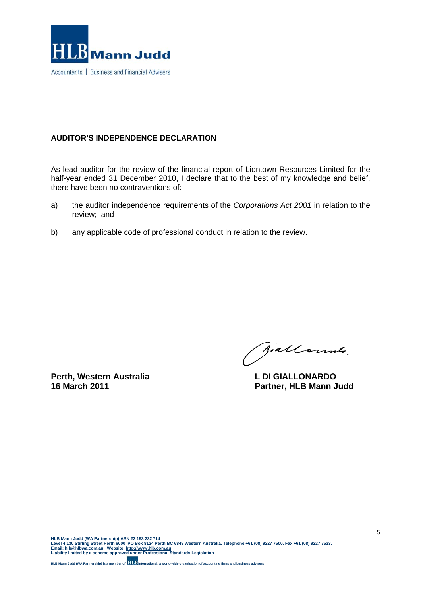

## **AUDITOR'S INDEPENDENCE DECLARATION**

As lead auditor for the review of the financial report of Liontown Resources Limited for the half-year ended 31 December 2010, I declare that to the best of my knowledge and belief, there have been no contraventions of:

- a) the auditor independence requirements of the *Corporations Act 2001* in relation to the review; and
- b) any applicable code of professional conduct in relation to the review.

**Perth, Western Australia L DI GIALLONARDO**<br>16 March 2011 **Contrary Contrary Partner. HI B Mann.** 

Siallonnes.

**Partner, HLB Mann Judd**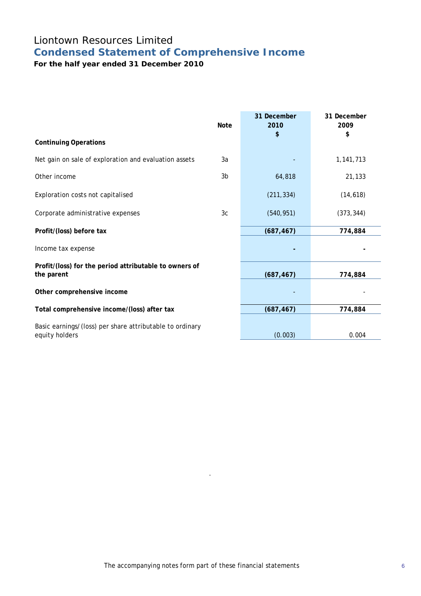# Liontown Resources Limited **Condensed Statement of Comprehensive Income**

**For the half year ended 31 December 2010** 

| <b>Note</b>    | 31 December<br>2010 | 31 December<br>2009<br>\$ |
|----------------|---------------------|---------------------------|
|                |                     |                           |
| 3a             |                     | 1,141,713                 |
| 3 <sub>b</sub> | 64,818              | 21,133                    |
|                | (211, 334)          | (14, 618)                 |
| 3c             | (540, 951)          | (373, 344)                |
|                | (687, 467)          | 774,884                   |
|                |                     |                           |
|                | (687, 467)          | 774,884                   |
|                |                     |                           |
|                | (687, 467)          | 774,884                   |
|                | (0.003)             | 0.004                     |
|                |                     | \$                        |

.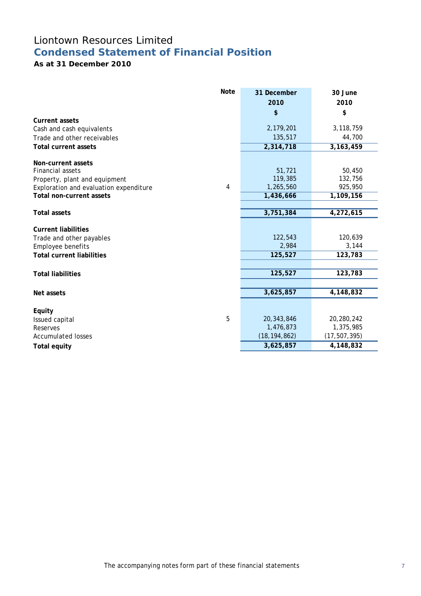## Liontown Resources Limited **Condensed Statement of Financial Position**

## **As at 31 December 2010**

|                                        | <b>Note</b> | 31 December    | 30 June        |
|----------------------------------------|-------------|----------------|----------------|
|                                        |             | 2010           | 2010           |
| <b>Current assets</b>                  |             | \$             | \$             |
| Cash and cash equivalents              |             | 2,179,201      | 3,118,759      |
| Trade and other receivables            |             | 135,517        | 44,700         |
| <b>Total current assets</b>            |             | 2,314,718      | 3, 163, 459    |
|                                        |             |                |                |
| Non-current assets                     |             |                |                |
| Financial assets                       |             | 51,721         | 50,450         |
| Property, plant and equipment          |             | 119,385        | 132,756        |
| Exploration and evaluation expenditure | 4           | 1,265,560      | 925,950        |
| <b>Total non-current assets</b>        |             | 1,436,666      | 1,109,156      |
|                                        |             |                |                |
| <b>Total assets</b>                    |             | 3,751,384      | 4,272,615      |
| <b>Current liabilities</b>             |             |                |                |
| Trade and other payables               |             | 122,543        | 120,639        |
| Employee benefits                      |             | 2,984          | 3,144          |
| <b>Total current liabilities</b>       |             | 125,527        | 123,783        |
|                                        |             |                |                |
| <b>Total liabilities</b>               |             | 125,527        | 123,783        |
|                                        |             |                |                |
| Net assets                             |             | 3,625,857      | 4,148,832      |
|                                        |             |                |                |
| Equity                                 |             |                |                |
| Issued capital                         | 5           | 20,343,846     | 20,280,242     |
| Reserves                               |             | 1,476,873      | 1,375,985      |
| <b>Accumulated losses</b>              |             | (18, 194, 862) | (17, 507, 395) |
| <b>Total equity</b>                    |             | 3,625,857      | 4,148,832      |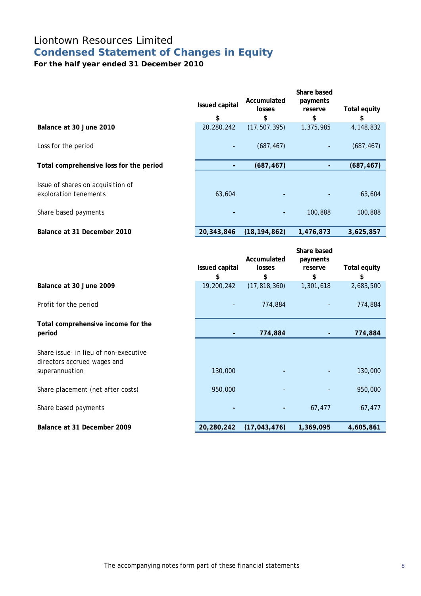## Liontown Resources Limited **Condensed Statement of Changes in Equity**

**For the half year ended 31 December 2010** 

|                                                                                    | Issued capital<br>\$ | Accumulated<br>losses<br>\$ | Share based<br>payments<br>reserve<br>\$ | <b>Total equity</b><br>\$ |
|------------------------------------------------------------------------------------|----------------------|-----------------------------|------------------------------------------|---------------------------|
| Balance at 30 June 2010                                                            | 20,280,242           | (17, 507, 395)              | 1,375,985                                | 4,148,832                 |
| Loss for the period                                                                |                      | (687, 467)                  |                                          | (687, 467)                |
| Total comprehensive loss for the period                                            |                      | (687, 467)                  |                                          | (687, 467)                |
| Issue of shares on acquisition of<br>exploration tenements<br>Share based payments | 63,604               |                             | 100,888                                  | 63,604<br>100,888         |
| Balance at 31 December 2010                                                        | 20,343,846           | (18, 194, 862)              | 1,476,873                                | 3,625,857                 |
|                                                                                    | Issued capital<br>\$ | Accumulated<br>losses<br>\$ | Share based<br>payments<br>reserve<br>\$ | <b>Total equity</b><br>\$ |
| Balance at 30 June 2009                                                            | 19,200,242           | (17, 818, 360)              | 1,301,618                                | 2,683,500                 |

### Profit for the period and the contract of the period of the period of the contract of the 774,884 and the 774,884

### **Total comprehensive income for the period - 774,884 - 774,884**

Share issue- in lieu of non-executive directors accrued wages and superannuation 130,000 **- -** 130,000

Share placement (net after costs) 950,000 - - 950,000

**Share based payments 1988** 67,477 67,477 67,477 67,477 67,477 67,477 67,477 67,477 67,477 67,477 67,477 67,477 67,477 67,477 67,477 67,477 67,477 67,477 67,477 67,477 67,477 67,477 67,477 67,477 67,477 67,477 67,477 67,

**Balance at 31 December 2009 20,280,242 (17,043,476) 1,369,095 4,605,861**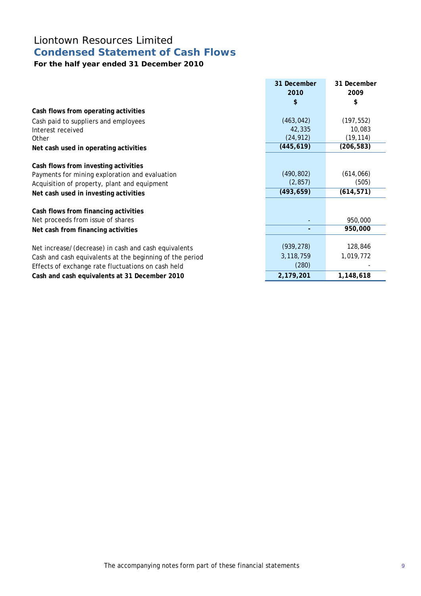# Liontown Resources Limited **Condensed Statement of Cash Flows**

## **For the half year ended 31 December 2010**

|                                                          | 31 December | 31 December |
|----------------------------------------------------------|-------------|-------------|
|                                                          | 2010        | 2009        |
|                                                          | \$          | \$          |
| Cash flows from operating activities                     |             |             |
| Cash paid to suppliers and employees                     | (463, 042)  | (197, 552)  |
| Interest received                                        | 42,335      | 10,083      |
| Other                                                    | (24, 912)   | (19, 114)   |
| Net cash used in operating activities                    | (445, 619)  | (206, 583)  |
|                                                          |             |             |
| Cash flows from investing activities                     |             |             |
| Payments for mining exploration and evaluation           | (490, 802)  | (614, 066)  |
| Acquisition of property, plant and equipment             | (2, 857)    | (505)       |
| Net cash used in investing activities                    | (493, 659)  | (614, 571)  |
|                                                          |             |             |
| Cash flows from financing activities                     |             |             |
| Net proceeds from issue of shares                        |             | 950,000     |
| Net cash from financing activities                       |             | 950,000     |
|                                                          |             |             |
| Net increase/(decrease) in cash and cash equivalents     | (939, 278)  | 128,846     |
| Cash and cash equivalents at the beginning of the period | 3,118,759   | 1,019,772   |
| Effects of exchange rate fluctuations on cash held       | (280)       |             |
| Cash and cash equivalents at 31 December 2010            | 2,179,201   | 1,148,618   |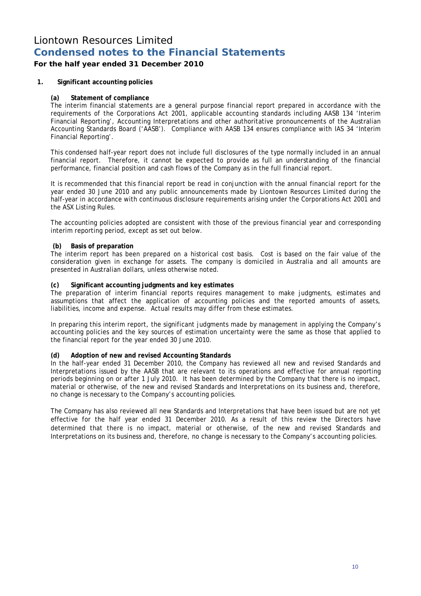## **For the half year ended 31 December 2010**

#### **1. Significant accounting policies**

#### **(a) Statement of compliance**

The interim financial statements are a general purpose financial report prepared in accordance with the requirements of the Corporations Act 2001, applicable accounting standards including AASB 134 'Interim Financial Reporting', Accounting Interpretations and other authoritative pronouncements of the Australian Accounting Standards Board ('AASB'). Compliance with AASB 134 ensures compliance with IAS 34 'Interim Financial Reporting'.

This condensed half-year report does not include full disclosures of the type normally included in an annual financial report. Therefore, it cannot be expected to provide as full an understanding of the financial performance, financial position and cash flows of the Company as in the full financial report.

It is recommended that this financial report be read in conjunction with the annual financial report for the year ended 30 June 2010 and any public announcements made by Liontown Resources Limited during the half-year in accordance with continuous disclosure requirements arising under the Corporations Act 2001 and the ASX Listing Rules.

The accounting policies adopted are consistent with those of the previous financial year and corresponding interim reporting period, except as set out below.

#### **(b) Basis of preparation**

The interim report has been prepared on a historical cost basis. Cost is based on the fair value of the consideration given in exchange for assets. The company is domiciled in Australia and all amounts are presented in Australian dollars, unless otherwise noted.

#### **(c) Significant accounting judgments and key estimates**

The preparation of interim financial reports requires management to make judgments, estimates and assumptions that affect the application of accounting policies and the reported amounts of assets, liabilities, income and expense. Actual results may differ from these estimates.

In preparing this interim report, the significant judgments made by management in applying the Company's accounting policies and the key sources of estimation uncertainty were the same as those that applied to the financial report for the year ended 30 June 2010.

#### **(d) Adoption of new and revised Accounting Standards**

In the half-year ended 31 December 2010, the Company has reviewed all new and revised Standards and Interpretations issued by the AASB that are relevant to its operations and effective for annual reporting periods beginning on or after 1 July 2010. It has been determined by the Company that there is no impact, material or otherwise, of the new and revised Standards and Interpretations on its business and, therefore, no change is necessary to the Company's accounting policies.

The Company has also reviewed all new Standards and Interpretations that have been issued but are not yet effective for the half year ended 31 December 2010. As a result of this review the Directors have determined that there is no impact, material or otherwise, of the new and revised Standards and Interpretations on its business and, therefore, no change is necessary to the Company's accounting policies.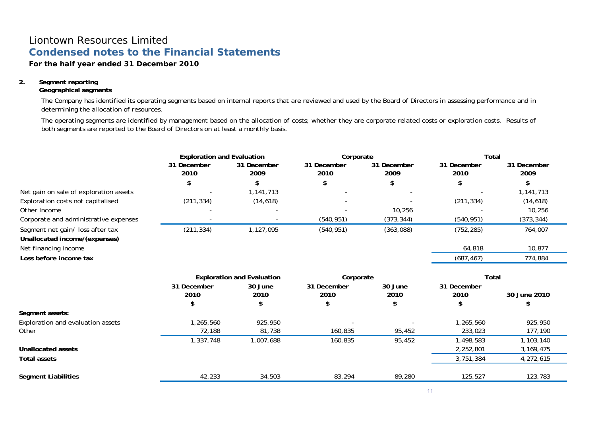### **For the half year ended 31 December 2010**

### **2. Segment reporting**

#### **Geographical segments**

The Company has identified its operating segments based on internal reports that are reviewed and used by the Board of Directors in assessing performance and in determining the allocation of resources.

The operating segments are identified by management based on the allocation of costs; whether they are corporate related costs or exploration costs. Results of both segments are reported to the Board of Directors on at least a monthly basis.

|                                        | <b>Exploration and Evaluation</b> |                                   | Corporate              |             | Total       |              |
|----------------------------------------|-----------------------------------|-----------------------------------|------------------------|-------------|-------------|--------------|
|                                        | 31 December                       | 31 December                       | 31 December            | 31 December | 31 December | 31 December  |
|                                        | 2010                              | 2009                              | 2010                   | 2009        | 2010        | 2009         |
|                                        | \$                                |                                   | \$                     |             | \$          | \$           |
| Net gain on sale of exploration assets |                                   | 1,141,713                         |                        |             |             | 1,141,713    |
| Exploration costs not capitalised      | (211, 334)                        | (14, 618)                         |                        |             | (211, 334)  | (14, 618)    |
| Other Income                           |                                   |                                   |                        | 10,256      |             | 10,256       |
| Corporate and administrative expenses  |                                   |                                   | (540, 951)             | (373, 344)  | (540, 951)  | (373, 344)   |
| Segment net gain/ loss after tax       | (211, 334)                        | 1,127,095                         | (540, 951)             | (363,088)   | (752, 285)  | 764,007      |
| Unallocated income/(expenses)          |                                   |                                   |                        |             |             |              |
| Net financing income                   |                                   |                                   |                        |             | 64,818      | 10,877       |
| Loss before income tax                 |                                   |                                   |                        |             | (687, 467)  | 774,884      |
|                                        |                                   | <b>Exploration and Evaluation</b> | Corporate              |             | Total       |              |
|                                        | 31 December                       | 30 June                           | 31 December<br>30 June |             | 31 December |              |
|                                        | 2010                              | 2010                              | 2010                   | 2010        | 2010        | 30 June 2010 |
|                                        |                                   |                                   | \$                     |             |             |              |
| Segment assets:                        |                                   |                                   |                        |             |             |              |
| Exploration and evaluation assets      | 1,265,560                         | 925,950                           |                        |             | 1,265,560   | 925,950      |
| Other                                  | 72,188                            | 81,738                            | 160,835                | 95,452      | 233,023     | 177,190      |
|                                        | 1,337,748                         | 1,007,688                         | 160,835                | 95,452      | 1,498,583   | 1,103,140    |
| <b>Unallocated assets</b>              |                                   |                                   |                        |             | 2,252,801   | 3,169,475    |
| <b>Total assets</b>                    |                                   |                                   |                        |             | 3,751,384   | 4,272,615    |
| <b>Segment Liabilities</b>             | 42,233                            | 34,503                            | 83,294                 | 89,280      | 125,527     | 123,783      |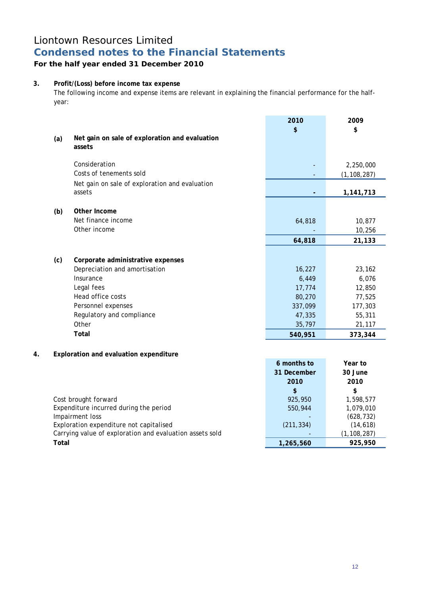## **For the half year ended 31 December 2010**

## **3. Profit/(Loss) before income tax expense**

The following income and expense items are relevant in explaining the financial performance for the halfyear:

|    |              |                                                          | 2010        | 2009          |
|----|--------------|----------------------------------------------------------|-------------|---------------|
|    |              |                                                          | \$          | \$            |
|    | (a)          | Net gain on sale of exploration and evaluation<br>assets |             |               |
|    |              | Consideration                                            |             | 2,250,000     |
|    |              | Costs of tenements sold                                  |             | (1, 108, 287) |
|    |              | Net gain on sale of exploration and evaluation           |             |               |
|    |              | assets                                                   |             | 1,141,713     |
|    | (b)          | Other Income                                             |             |               |
|    |              | Net finance income                                       | 64,818      | 10,877        |
|    |              | Other income                                             |             | 10,256        |
|    |              |                                                          | 64,818      | 21,133        |
|    |              |                                                          |             |               |
|    | (c)          | Corporate administrative expenses                        |             |               |
|    |              | Depreciation and amortisation                            | 16,227      | 23,162        |
|    |              | Insurance                                                | 6,449       | 6,076         |
|    |              | Legal fees                                               | 17,774      | 12,850        |
|    |              | Head office costs                                        | 80,270      | 77,525        |
|    |              | Personnel expenses                                       | 337,099     | 177,303       |
|    |              | Regulatory and compliance                                | 47,335      | 55,311        |
|    |              | Other                                                    | 35,797      | 21,117        |
|    |              | <b>Total</b>                                             | 540,951     | 373,344       |
|    |              |                                                          |             |               |
| 4. |              | Exploration and evaluation expenditure                   |             |               |
|    |              |                                                          | 6 months to | Year to       |
|    |              |                                                          | 31 December | 30 June       |
|    |              |                                                          | 2010        | 2010          |
|    |              |                                                          | \$          | \$            |
|    |              | Cost brought forward                                     | 925,950     | 1,598,577     |
|    |              | Expenditure incurred during the period                   | 550,944     | 1,079,010     |
|    |              | Impairment loss                                          |             | (628, 732)    |
|    |              | Exploration expenditure not capitalised                  | (211, 334)  | (14, 618)     |
|    |              | Carrying value of exploration and evaluation assets sold |             | (1, 108, 287) |
|    | <b>Total</b> |                                                          | 1,265,560   | 925,950       |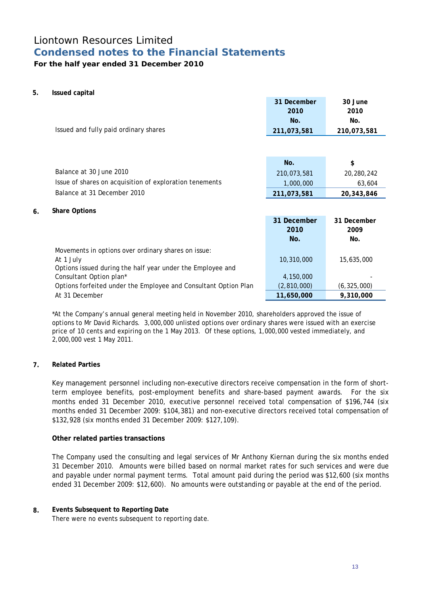## **For the half year ended 31 December 2010**

### **5. Issued capital**

|    | Issued and fully paid ordinary shares                           | 31 December<br>2010<br>No.<br>211,073,581 | 30 June<br>2010<br>No.<br>210,073,581 |
|----|-----------------------------------------------------------------|-------------------------------------------|---------------------------------------|
|    |                                                                 |                                           |                                       |
|    |                                                                 | No.                                       | \$                                    |
|    | Balance at 30 June 2010                                         |                                           |                                       |
|    |                                                                 | 210,073,581                               | 20,280,242                            |
|    | Issue of shares on acquisition of exploration tenements         | 1,000,000                                 | 63,604                                |
|    | Balance at 31 December 2010                                     | 211,073,581                               | 20,343,846                            |
| 6. | <b>Share Options</b>                                            |                                           |                                       |
|    |                                                                 | 31 December                               | 31 December                           |
|    |                                                                 | 2010                                      | 2009                                  |
|    |                                                                 | No.                                       | No.                                   |
|    | Movements in options over ordinary shares on issue:             |                                           |                                       |
|    | At 1 July                                                       | 10,310,000                                | 15,635,000                            |
|    | Options issued during the half year under the Employee and      |                                           |                                       |
|    | Consultant Option plan*                                         | 4,150,000                                 |                                       |
|    | Options forfeited under the Employee and Consultant Option Plan | (2,810,000)                               | (6, 325, 000)                         |
|    | At 31 December                                                  | 11,650,000                                | 9,310,000                             |

\*At the Company's annual general meeting held in November 2010, shareholders approved the issue of options to Mr David Richards. 3,000,000 unlisted options over ordinary shares were issued with an exercise price of 10 cents and expiring on the 1 May 2013. Of these options, 1,000,000 vested immediately, and 2,000,000 vest 1 May 2011.

### **7. Related Parties**

Key management personnel including non-executive directors receive compensation in the form of shortterm employee benefits, post-employment benefits and share-based payment awards. For the six months ended 31 December 2010, executive personnel received total compensation of \$196,744 (six months ended 31 December 2009: \$104,381) and non-executive directors received total compensation of \$132,928 (six months ended 31 December 2009: \$127,109).

### **Other related parties transactions**

The Company used the consulting and legal services of Mr Anthony Kiernan during the six months ended 31 December 2010. Amounts were billed based on normal market rates for such services and were due and payable under normal payment terms. Total amount paid during the period was \$12,600 (six months ended 31 December 2009: \$12,600). No amounts were outstanding or payable at the end of the period.

### **8. Events Subsequent to Reporting Date**

There were no events subsequent to reporting date.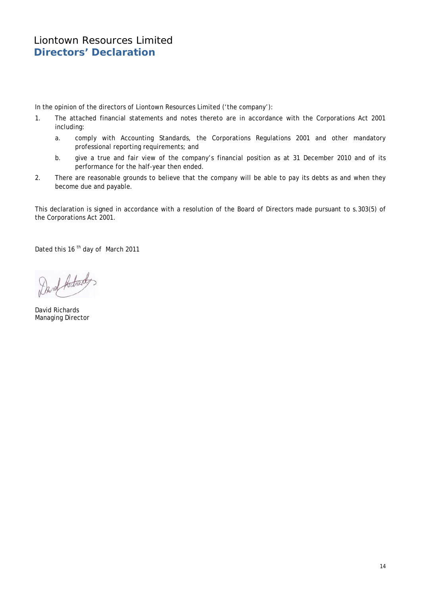In the opinion of the directors of Liontown Resources Limited ('the company'):

- 1. The attached financial statements and notes thereto are in accordance with the Corporations Act 2001 including:
	- a. comply with Accounting Standards, the Corporations Regulations 2001 and other mandatory professional reporting requirements; and
	- b. give a true and fair view of the company's financial position as at 31 December 2010 and of its performance for the half-year then ended.
- 2. There are reasonable grounds to believe that the company will be able to pay its debts as and when they become due and payable.

This declaration is signed in accordance with a resolution of the Board of Directors made pursuant to s.303(5) of the Corporations Act 2001.

Dated this 16<sup>th</sup> day of March 2011

Davet Actords

David Richards Managing Director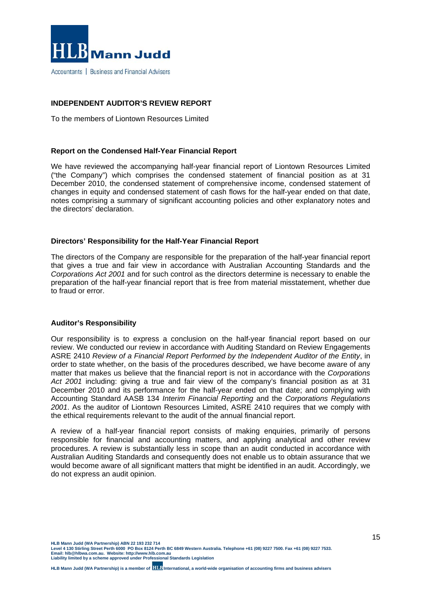

### **INDEPENDENT AUDITOR'S REVIEW REPORT**

To the members of Liontown Resources Limited

#### **Report on the Condensed Half-Year Financial Report**

We have reviewed the accompanying half-year financial report of Liontown Resources Limited ("the Company") which comprises the condensed statement of financial position as at 31 December 2010, the condensed statement of comprehensive income, condensed statement of changes in equity and condensed statement of cash flows for the half-year ended on that date, notes comprising a summary of significant accounting policies and other explanatory notes and the directors' declaration.

### **Directors' Responsibility for the Half-Year Financial Report**

The directors of the Company are responsible for the preparation of the half-year financial report that gives a true and fair view in accordance with Australian Accounting Standards and the *Corporations Act 2001* and for such control as the directors determine is necessary to enable the preparation of the half-year financial report that is free from material misstatement, whether due to fraud or error.

#### **Auditor's Responsibility**

Our responsibility is to express a conclusion on the half-year financial report based on our review. We conducted our review in accordance with Auditing Standard on Review Engagements ASRE 2410 *Review of a Financial Report Performed by the Independent Auditor of the Entity*, in order to state whether, on the basis of the procedures described, we have become aware of any matter that makes us believe that the financial report is not in accordance with the *Corporations Act 2001* including: giving a true and fair view of the company's financial position as at 31 December 2010 and its performance for the half-year ended on that date; and complying with Accounting Standard AASB 134 *Interim Financial Reporting* and the *Corporations Regulations 2001*. As the auditor of Liontown Resources Limited, ASRE 2410 requires that we comply with the ethical requirements relevant to the audit of the annual financial report.

A review of a half-year financial report consists of making enquiries, primarily of persons responsible for financial and accounting matters, and applying analytical and other review procedures. A review is substantially less in scope than an audit conducted in accordance with Australian Auditing Standards and consequently does not enable us to obtain assurance that we would become aware of all significant matters that might be identified in an audit. Accordingly, we do not express an audit opinion.

**HLB Mann Judd (WA Partnership) ABN 22 193 232 714 Level 4 130 Stirling Street Perth 6000 PO Box 8124 Perth BC 6849 Western Australia. Telephone +61 (08) 9227 7500. Fax +61 (08) 9227 7533. Email: hlb@hlbwa.com.au. Website: http://www.hlb.com.au** 

**Liability limited by a scheme approved under Professional Standards Legislation**